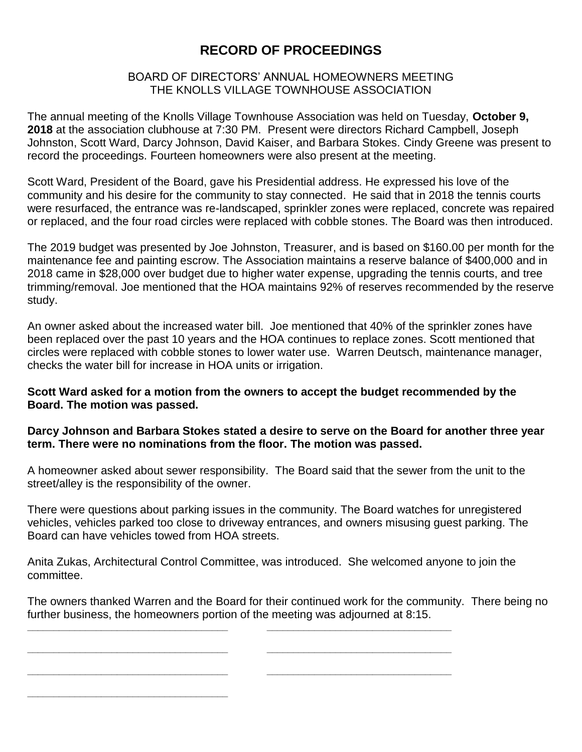# **RECORD OF PROCEEDINGS**

## BOARD OF DIRECTORS' ANNUAL HOMEOWNERS MEETING THE KNOLLS VILLAGE TOWNHOUSE ASSOCIATION

The annual meeting of the Knolls Village Townhouse Association was held on Tuesday, **October 9, 2018** at the association clubhouse at 7:30 PM. Present were directors Richard Campbell, Joseph Johnston, Scott Ward, Darcy Johnson, David Kaiser, and Barbara Stokes. Cindy Greene was present to record the proceedings. Fourteen homeowners were also present at the meeting.

Scott Ward, President of the Board, gave his Presidential address. He expressed his love of the community and his desire for the community to stay connected. He said that in 2018 the tennis courts were resurfaced, the entrance was re-landscaped, sprinkler zones were replaced, concrete was repaired or replaced, and the four road circles were replaced with cobble stones. The Board was then introduced.

The 2019 budget was presented by Joe Johnston, Treasurer, and is based on \$160.00 per month for the maintenance fee and painting escrow. The Association maintains a reserve balance of \$400,000 and in 2018 came in \$28,000 over budget due to higher water expense, upgrading the tennis courts, and tree trimming/removal. Joe mentioned that the HOA maintains 92% of reserves recommended by the reserve study.

An owner asked about the increased water bill. Joe mentioned that 40% of the sprinkler zones have been replaced over the past 10 years and the HOA continues to replace zones. Scott mentioned that circles were replaced with cobble stones to lower water use. Warren Deutsch, maintenance manager, checks the water bill for increase in HOA units or irrigation.

#### **Scott Ward asked for a motion from the owners to accept the budget recommended by the Board. The motion was passed.**

## **Darcy Johnson and Barbara Stokes stated a desire to serve on the Board for another three year term. There were no nominations from the floor. The motion was passed.**

A homeowner asked about sewer responsibility. The Board said that the sewer from the unit to the street/alley is the responsibility of the owner.

There were questions about parking issues in the community. The Board watches for unregistered vehicles, vehicles parked too close to driveway entrances, and owners misusing guest parking. The Board can have vehicles towed from HOA streets.

Anita Zukas, Architectural Control Committee, was introduced. She welcomed anyone to join the committee.

**\_\_\_\_\_\_\_\_\_\_\_\_\_\_\_\_\_\_\_\_\_\_\_\_\_\_\_\_\_\_\_\_\_\_\_\_\_\_ \_\_\_\_\_\_\_\_\_\_\_\_\_\_\_\_\_\_\_\_\_\_\_\_\_\_\_\_\_\_\_\_\_\_\_**

**\_\_\_\_\_\_\_\_\_\_\_\_\_\_\_\_\_\_\_\_\_\_\_\_\_\_\_\_\_\_\_\_\_\_\_\_\_\_ \_\_\_\_\_\_\_\_\_\_\_\_\_\_\_\_\_\_\_\_\_\_\_\_\_\_\_\_\_\_\_\_\_\_\_**

**\_\_\_\_\_\_\_\_\_\_\_\_\_\_\_\_\_\_\_\_\_\_\_\_\_\_\_\_\_\_\_\_\_\_\_\_\_\_ \_\_\_\_\_\_\_\_\_\_\_\_\_\_\_\_\_\_\_\_\_\_\_\_\_\_\_\_\_\_\_\_\_\_\_**

**\_\_\_\_\_\_\_\_\_\_\_\_\_\_\_\_\_\_\_\_\_\_\_\_\_\_\_\_\_\_\_\_\_\_\_\_\_\_**

The owners thanked Warren and the Board for their continued work for the community. There being no further business, the homeowners portion of the meeting was adjourned at 8:15.